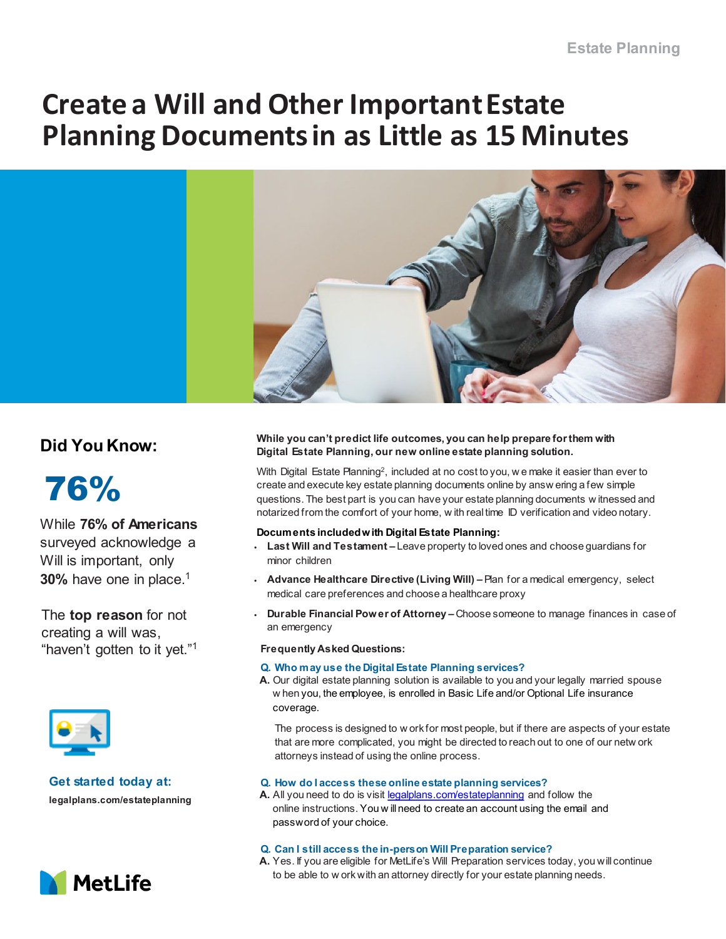# **Create a Will and Other Important Estate Planning Documents in as Little as 15 Minutes**



# **Did You Know:**



While **76% of Americans**  surveyed acknowledge a Will is important, only **30%** have one in place.1

The **top reason** for not creating a will was, "haven't gotten to it yet."1



# **Get started today at:**

**legalplans.com/estateplanning**



# **While you can't predict life outcomes, you can help prepare for them with Digital Estate Planning, our new online estate planning solution.**

With Digital Estate Planning2, included at no cost to you, w e make it easier than ever to create and execute key estate planning documents online by answ ering a few simple questions. The best part is you can have your estate planning documents w itnessed and notarized from the comfort of your home, w ith real time ID verification and video notary.

### **Documents included with Digital Estate Planning:**

- **Last Will and Testament –** Leave property to loved ones and choose guardians for minor children
- **Advance Healthcare Directive (Living Will) –** Plan for a medical emergency, select medical care preferences and choose a healthcare proxy
- **Durable Financial Power of Attorney –** Choose someone to manage finances in case of an emergency

#### **Frequently Asked Questions:**

#### **Q. Who may use the Digital Estate Planning services?**

**A.** Our digital estate planning solution is available to you and your legally married spouse w hen you, the employee, is enrolled in Basic Life and/or Optional Life insurance coverage.

The process is designed to w ork for most people, but if there are aspects of your estate that are more complicated, you might be directed to reach out to one of our netw ork attorneys instead of using the online process.

### **Q. How do I access these online estate planning services?**

**A.** All you need to do is visit [legalplans.com/estateplanning](http://www.legalplans.com/estateplanning) and follow the online instructions. You w ill need to create an account using the email and password of your choice.

#### **Q. Can I still access the in-person Will Preparation service?**

**A.** Yes. If you are eligible for MetLife's Will Preparation services today, you will continue to be able to w ork with an attorney directly for your estate planning needs.